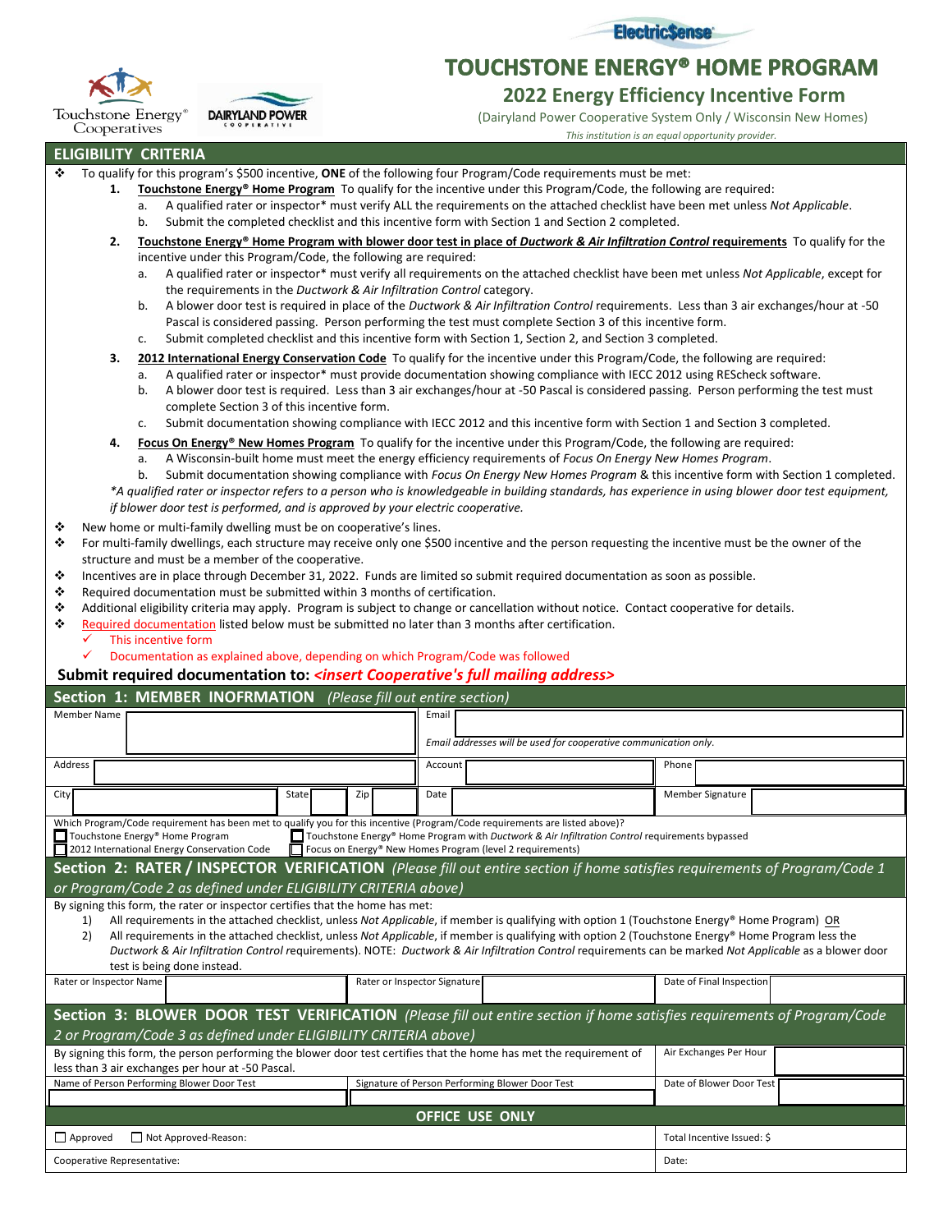

**TOUCHSTONE ENERGY® HOME PROGRAM** 



Touchstone Energy<sup>®</sup> Cooperatives

**DAIRYLAND POWER** 

 **2022 Energy Efficiency Incentive Form**

(Dairyland Power Cooperative System Only / Wisconsin New Homes)

 *This institution is an equal opportunity provider.*

## **ELIGIBILITY CRITERIA**

- ❖ To qualify for this program's \$500 incentive, **ONE** of the following four Program/Code requirements must be met:
	- **1. Touchstone Energy® Home Program** To qualify for the incentive under this Program/Code, the following are required:
		- a. A qualified rater or inspector\* must verify ALL the requirements on the attached checklist have been met unless *Not Applicable*.
		- b. Submit the completed checklist and this incentive form with Section 1 and Section 2 completed.
	- **2. Touchstone Energy® Home Program with blower door test in place of** *Ductwork & Air Infiltration Control* **requirements** To qualify for the incentive under this Program/Code, the following are required:
		- a. A qualified rater or inspector\* must verify all requirements on the attached checklist have been met unless *Not Applicable*, except for the requirements in the *Ductwork & Air Infiltration Control* category.
		- b. A blower door test is required in place of the *Ductwork & Air Infiltration Control* requirements. Less than 3 air exchanges/hour at -50 Pascal is considered passing. Person performing the test must complete Section 3 of this incentive form.
		- c. Submit completed checklist and this incentive form with Section 1, Section 2, and Section 3 completed.

**3. 2012 International Energy Conservation Code** To qualify for the incentive under this Program/Code, the following are required:

- a. A qualified rater or inspector\* must provide documentation showing compliance with IECC 2012 using REScheck software.
- b. A blower door test is required. Less than 3 air exchanges/hour at -50 Pascal is considered passing. Person performing the test must complete Section 3 of this incentive form.
- c. Submit documentation showing compliance with IECC 2012 and this incentive form with Section 1 and Section 3 completed.
- **4. Focus On Energy® New Homes Program** To qualify for the incentive under this Program/Code, the following are required:
	- a. A Wisconsin-built home must meet the energy efficiency requirements of *Focus On Energy New Homes Program*.
- b. Submit documentation showing compliance with *Focus On Energy New Homes Program* & this incentive form with Section 1 completed. *\*A qualified rater or inspector refers to a person who is knowledgeable in building standards, has experience in using blower door test equipment, if blower door test is performed, and is approved by your electric cooperative.*
- ❖ New home or multi-family dwelling must be on cooperative's lines.
- ❖ For multi-family dwellings, each structure may receive only one \$500 incentive and the person requesting the incentive must be the owner of the structure and must be a member of the cooperative.
- ❖ Incentives are in place through December 31, 2022. Funds are limited so submit required documentation as soon as possible.
- ❖ Required documentation must be submitted within 3 months of certification.
- ❖ Additional eligibility criteria may apply. Program is subject to change or cancellation without notice. Contact cooperative for details.
- ❖ Required documentation listed below must be submitted no later than 3 months after certification.
	- This incentive form
	- Documentation as explained above, depending on which Program/Code was followed

## **Submit required documentation to:** *<insert Cooperative's full mailing address>*

| Section 1: MEMBER INOFRMATION (Please fill out entire section)                                                                                                                                                                                                                                                                                                                 |                                                 |                                                                  |  |                          |  |  |  |  |  |
|--------------------------------------------------------------------------------------------------------------------------------------------------------------------------------------------------------------------------------------------------------------------------------------------------------------------------------------------------------------------------------|-------------------------------------------------|------------------------------------------------------------------|--|--------------------------|--|--|--|--|--|
| <b>Member Name</b>                                                                                                                                                                                                                                                                                                                                                             | Email                                           |                                                                  |  |                          |  |  |  |  |  |
|                                                                                                                                                                                                                                                                                                                                                                                |                                                 | Email addresses will be used for cooperative communication only. |  |                          |  |  |  |  |  |
|                                                                                                                                                                                                                                                                                                                                                                                |                                                 |                                                                  |  |                          |  |  |  |  |  |
| Address                                                                                                                                                                                                                                                                                                                                                                        |                                                 | Account                                                          |  | Phone                    |  |  |  |  |  |
| City<br>State                                                                                                                                                                                                                                                                                                                                                                  | Zip                                             | Date                                                             |  | Member Signature         |  |  |  |  |  |
| Which Program/Code requirement has been met to qualify you for this incentive (Program/Code requirements are listed above)?<br>Touchstone Energy® Home Program<br>□ Touchstone Energy® Home Program with Ductwork & Air Infiltration Control requirements bypassed<br>2012 International Energy Conservation Code<br>Focus on Energy® New Homes Program (level 2 requirements) |                                                 |                                                                  |  |                          |  |  |  |  |  |
| Section 2: RATER / INSPECTOR VERIFICATION (Please fill out entire section if home satisfies requirements of Program/Code 1                                                                                                                                                                                                                                                     |                                                 |                                                                  |  |                          |  |  |  |  |  |
| or Program/Code 2 as defined under ELIGIBILITY CRITERIA above)                                                                                                                                                                                                                                                                                                                 |                                                 |                                                                  |  |                          |  |  |  |  |  |
| By signing this form, the rater or inspector certifies that the home has met:                                                                                                                                                                                                                                                                                                  |                                                 |                                                                  |  |                          |  |  |  |  |  |
| All requirements in the attached checklist, unless Not Applicable, if member is qualifying with option 1 (Touchstone Energy® Home Program) OR<br>1)                                                                                                                                                                                                                            |                                                 |                                                                  |  |                          |  |  |  |  |  |
| All requirements in the attached checklist, unless Not Applicable, if member is qualifying with option 2 (Touchstone Energy® Home Program less the<br>2)<br>Ductwork & Air Infiltration Control requirements). NOTE: Ductwork & Air Infiltration Control requirements can be marked Not Applicable as a blower door                                                            |                                                 |                                                                  |  |                          |  |  |  |  |  |
| test is being done instead.                                                                                                                                                                                                                                                                                                                                                    |                                                 |                                                                  |  |                          |  |  |  |  |  |
| Rater or Inspector Name                                                                                                                                                                                                                                                                                                                                                        | Rater or Inspector Signature                    |                                                                  |  | Date of Final Inspection |  |  |  |  |  |
|                                                                                                                                                                                                                                                                                                                                                                                |                                                 |                                                                  |  |                          |  |  |  |  |  |
| Section 3: BLOWER DOOR TEST VERIFICATION (Please fill out entire section if home satisfies requirements of Program/Code                                                                                                                                                                                                                                                        |                                                 |                                                                  |  |                          |  |  |  |  |  |
| 2 or Program/Code 3 as defined under ELIGIBILITY CRITERIA above)                                                                                                                                                                                                                                                                                                               |                                                 |                                                                  |  |                          |  |  |  |  |  |
| By signing this form, the person performing the blower door test certifies that the home has met the requirement of                                                                                                                                                                                                                                                            | Air Exchanges Per Hour                          |                                                                  |  |                          |  |  |  |  |  |
| less than 3 air exchanges per hour at -50 Pascal.                                                                                                                                                                                                                                                                                                                              |                                                 |                                                                  |  |                          |  |  |  |  |  |
| Name of Person Performing Blower Door Test                                                                                                                                                                                                                                                                                                                                     | Signature of Person Performing Blower Door Test |                                                                  |  | Date of Blower Door Test |  |  |  |  |  |
|                                                                                                                                                                                                                                                                                                                                                                                |                                                 |                                                                  |  |                          |  |  |  |  |  |
| <b>OFFICE USE ONLY</b>                                                                                                                                                                                                                                                                                                                                                         |                                                 |                                                                  |  |                          |  |  |  |  |  |
| $\Box$ Approved<br>Not Approved-Reason:                                                                                                                                                                                                                                                                                                                                        | Total Incentive Issued: \$                      |                                                                  |  |                          |  |  |  |  |  |
| Cooperative Representative:                                                                                                                                                                                                                                                                                                                                                    | Date:                                           |                                                                  |  |                          |  |  |  |  |  |